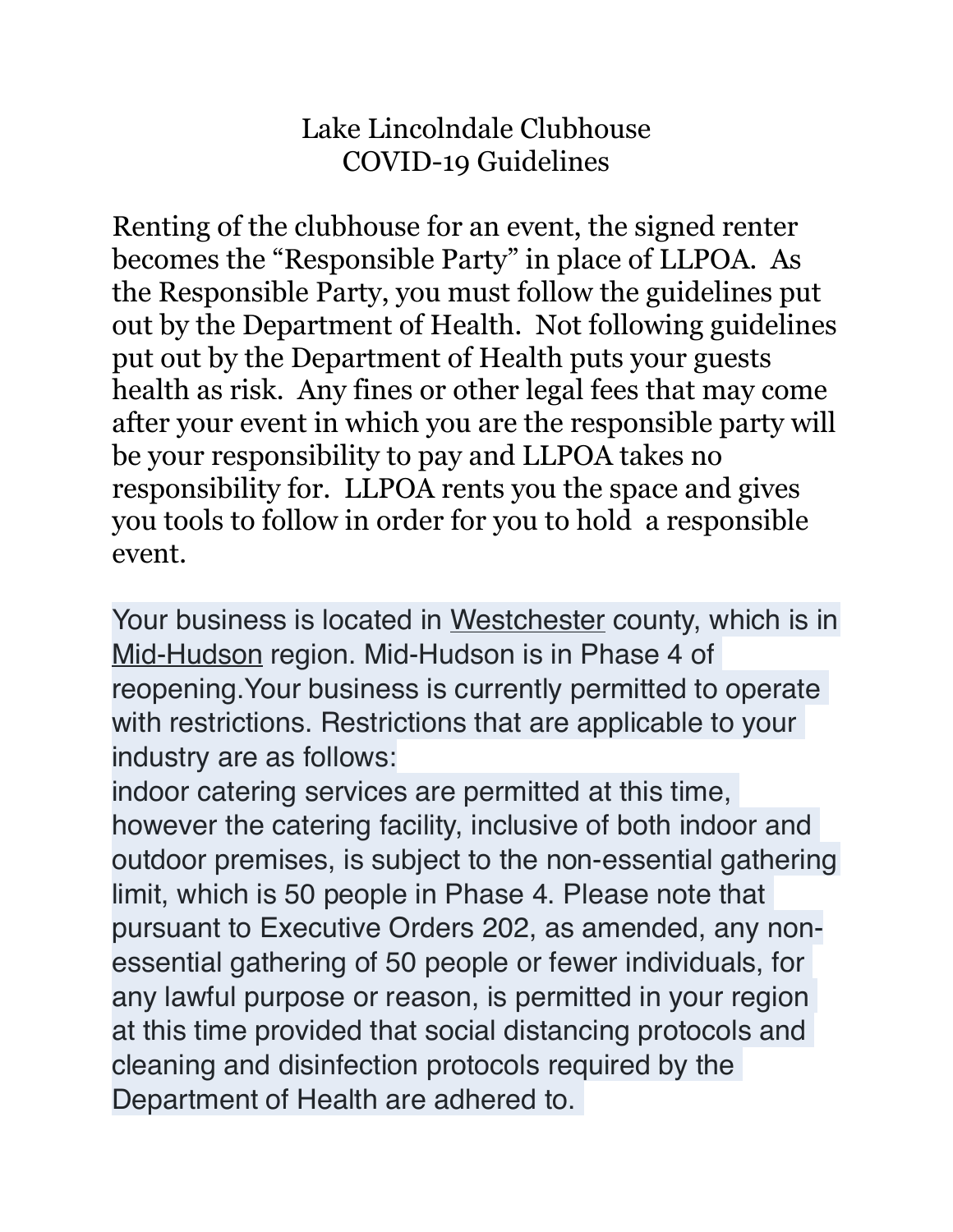## Lake Lincolndale Clubhouse COVID-19 Guidelines

Renting of the clubhouse for an event, the signed renter becomes the "Responsible Party" in place of LLPOA. As the Responsible Party, you must follow the guidelines put out by the Department of Health. Not following guidelines put out by the Department of Health puts your guests health as risk. Any fines or other legal fees that may come after your event in which you are the responsible party will be your responsibility to pay and LLPOA takes no responsibility for. LLPOA rents you the space and gives you tools to follow in order for you to hold a responsible event.

Your business is located in Westchester county, which is in Mid-Hudson region. Mid-Hudson is in Phase 4 of reopening.Your business is currently permitted to operate with restrictions. Restrictions that are applicable to your industry are as follows:

indoor catering services are permitted at this time, however the catering facility, inclusive of both indoor and outdoor premises, is subject to the non-essential gathering limit, which is 50 people in Phase 4. Please note that pursuant to Executive Orders 202, as amended, any nonessential gathering of 50 people or fewer individuals, for any lawful purpose or reason, is permitted in your region at this time provided that social distancing protocols and cleaning and disinfection protocols required by the Department of Health are adhered to.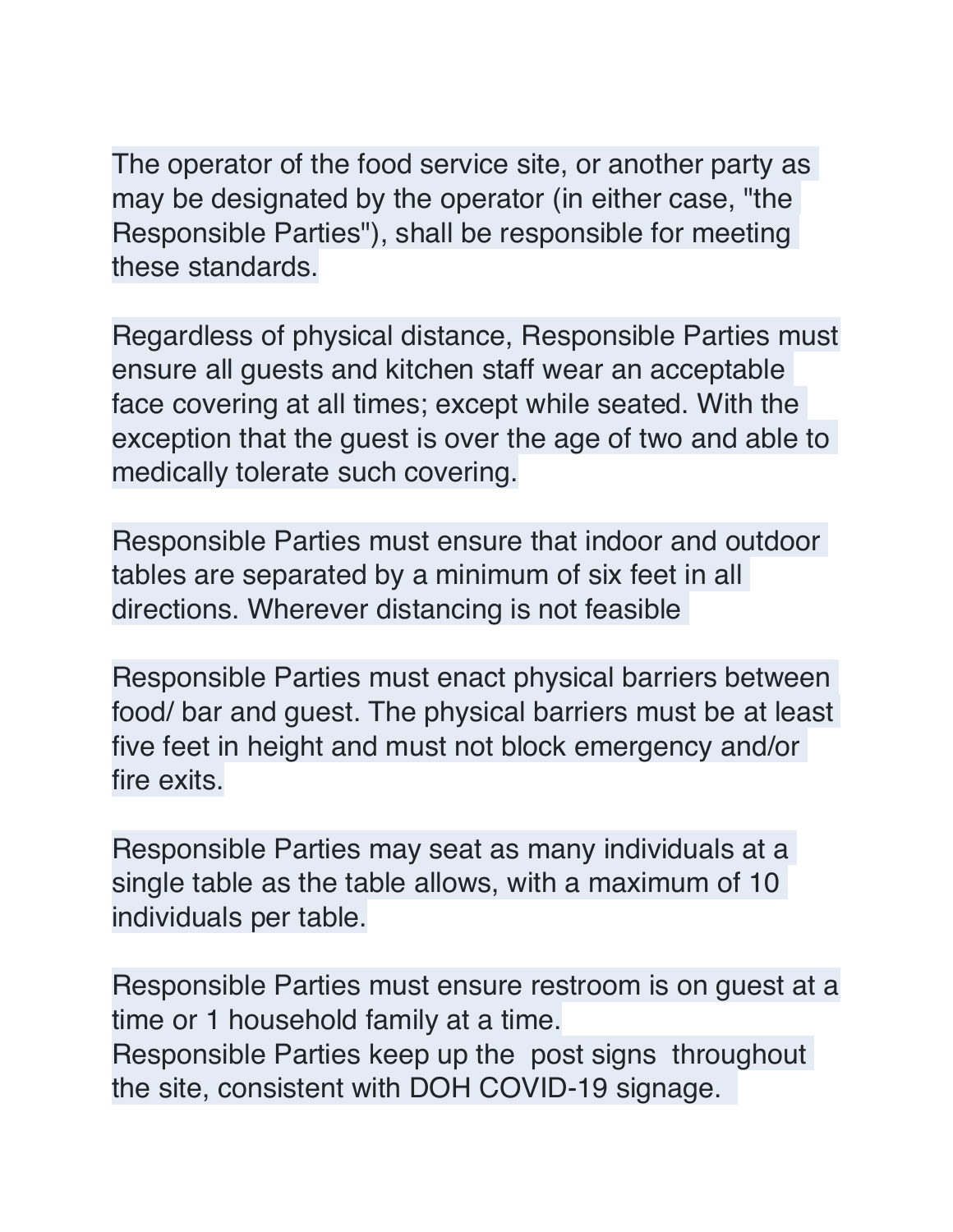The operator of the food service site, or another party as may be designated by the operator (in either case, "the Responsible Parties"), shall be responsible for meeting these standards.

Regardless of physical distance, Responsible Parties must ensure all guests and kitchen staff wear an acceptable face covering at all times; except while seated. With the exception that the guest is over the age of two and able to medically tolerate such covering.

Responsible Parties must ensure that indoor and outdoor tables are separated by a minimum of six feet in all directions. Wherever distancing is not feasible

Responsible Parties must enact physical barriers between food/ bar and guest. The physical barriers must be at least five feet in height and must not block emergency and/or fire exits.

Responsible Parties may seat as many individuals at a single table as the table allows, with a maximum of 10 individuals per table.

Responsible Parties must ensure restroom is on guest at a time or 1 household family at a time. Responsible Parties keep up the post signs throughout the site, consistent with DOH COVID-19 signage.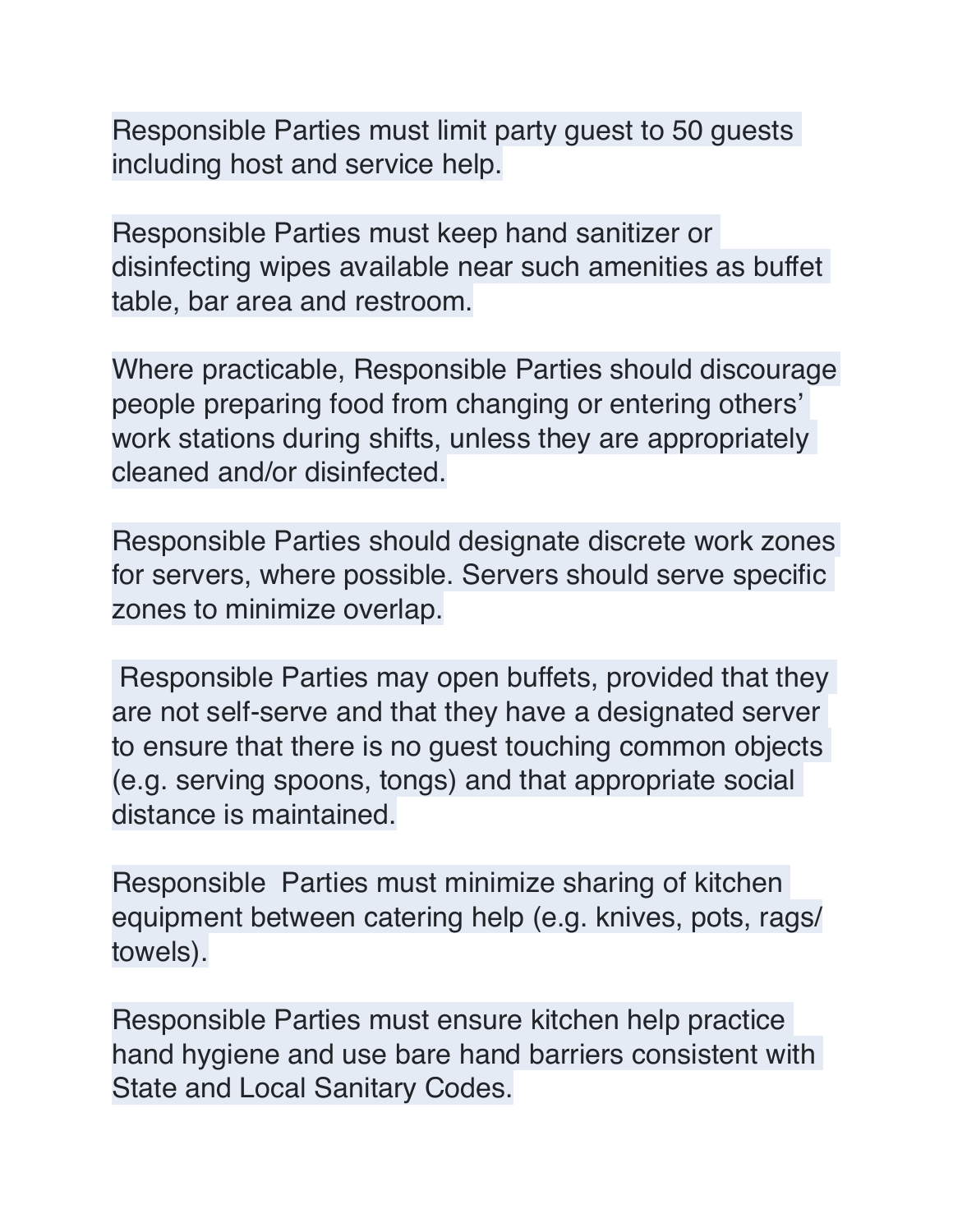Responsible Parties must limit party guest to 50 guests including host and service help.

Responsible Parties must keep hand sanitizer or disinfecting wipes available near such amenities as buffet table, bar area and restroom.

Where practicable, Responsible Parties should discourage people preparing food from changing or entering others' work stations during shifts, unless they are appropriately cleaned and/or disinfected.

Responsible Parties should designate discrete work zones for servers, where possible. Servers should serve specific zones to minimize overlap.

 Responsible Parties may open buffets, provided that they are not self-serve and that they have a designated server to ensure that there is no guest touching common objects (e.g. serving spoons, tongs) and that appropriate social distance is maintained.

Responsible Parties must minimize sharing of kitchen equipment between catering help (e.g. knives, pots, rags/ towels).

Responsible Parties must ensure kitchen help practice hand hygiene and use bare hand barriers consistent with State and Local Sanitary Codes.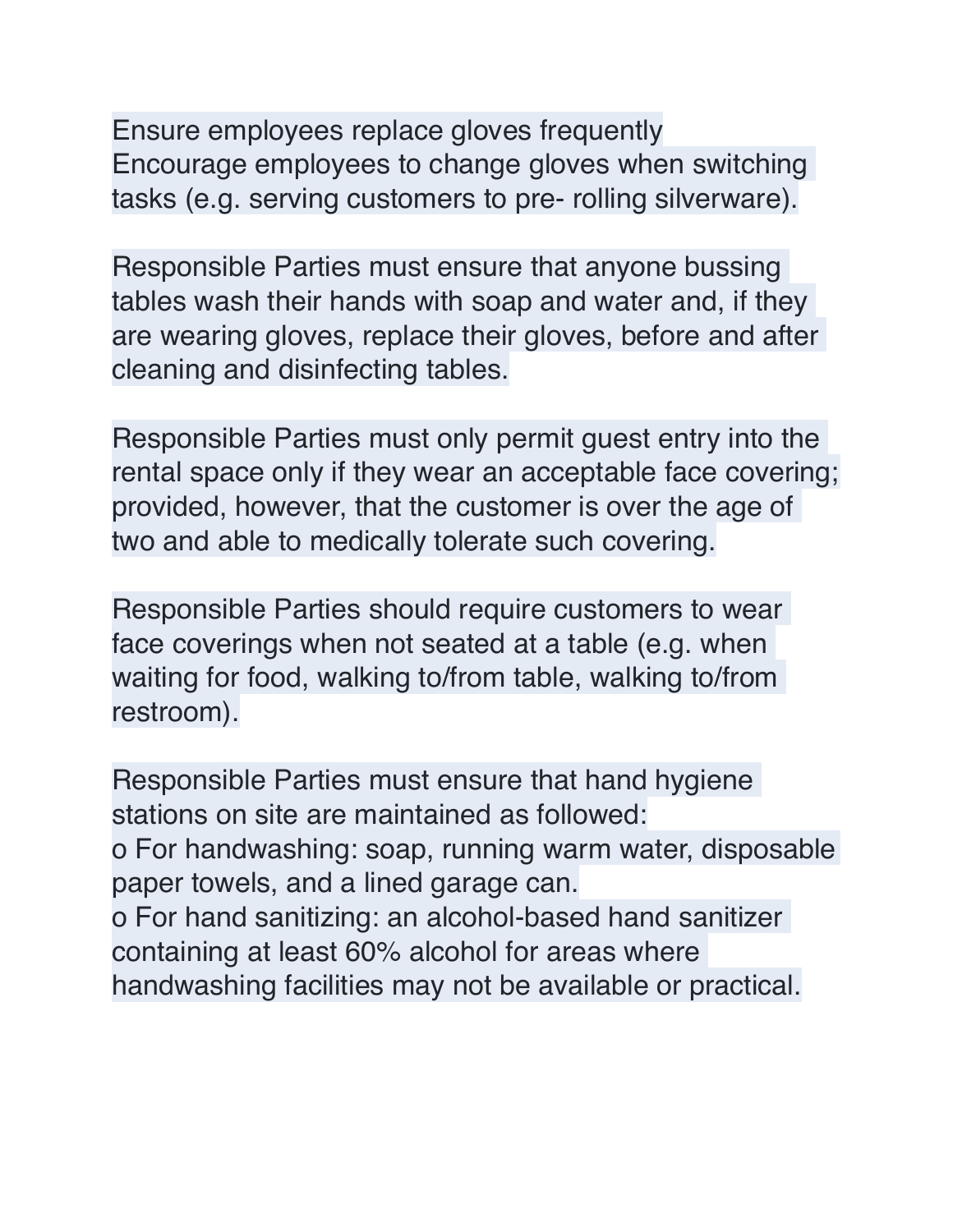Ensure employees replace gloves frequently Encourage employees to change gloves when switching tasks (e.g. serving customers to pre- rolling silverware).

Responsible Parties must ensure that anyone bussing tables wash their hands with soap and water and, if they are wearing gloves, replace their gloves, before and after cleaning and disinfecting tables.

Responsible Parties must only permit guest entry into the rental space only if they wear an acceptable face covering; provided, however, that the customer is over the age of two and able to medically tolerate such covering.

Responsible Parties should require customers to wear face coverings when not seated at a table (e.g. when waiting for food, walking to/from table, walking to/from restroom).

Responsible Parties must ensure that hand hygiene stations on site are maintained as followed: o For handwashing: soap, running warm water, disposable paper towels, and a lined garage can. o For hand sanitizing: an alcohol-based hand sanitizer containing at least 60% alcohol for areas where handwashing facilities may not be available or practical.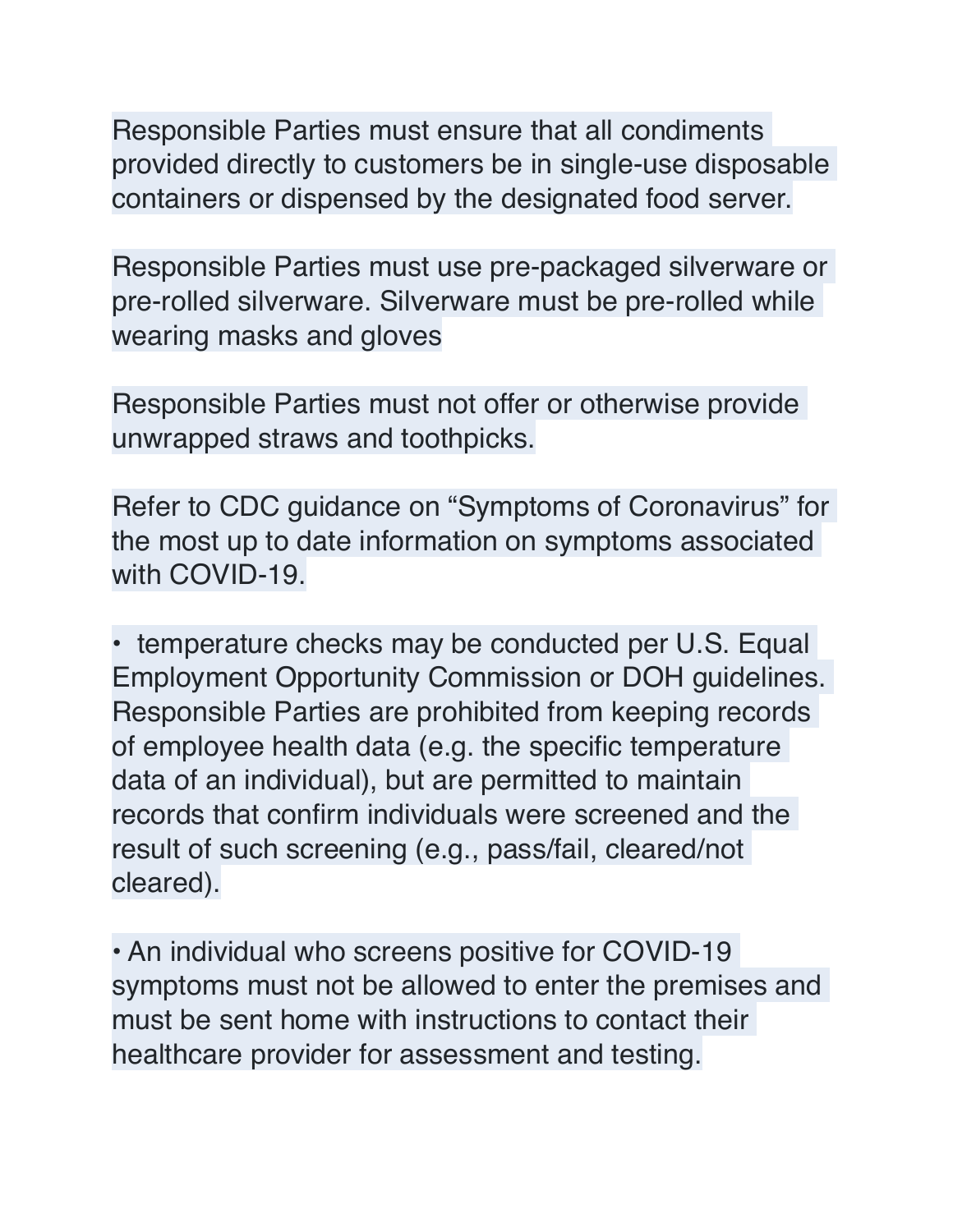Responsible Parties must ensure that all condiments provided directly to customers be in single-use disposable containers or dispensed by the designated food server.

Responsible Parties must use pre-packaged silverware or pre-rolled silverware. Silverware must be pre-rolled while wearing masks and gloves

Responsible Parties must not offer or otherwise provide unwrapped straws and toothpicks.

Refer to CDC guidance on "Symptoms of Coronavirus" for the most up to date information on symptoms associated with COVID-19.

• temperature checks may be conducted per U.S. Equal Employment Opportunity Commission or DOH guidelines. Responsible Parties are prohibited from keeping records of employee health data (e.g. the specific temperature data of an individual), but are permitted to maintain records that confirm individuals were screened and the result of such screening (e.g., pass/fail, cleared/not cleared).

• An individual who screens positive for COVID-19 symptoms must not be allowed to enter the premises and must be sent home with instructions to contact their healthcare provider for assessment and testing.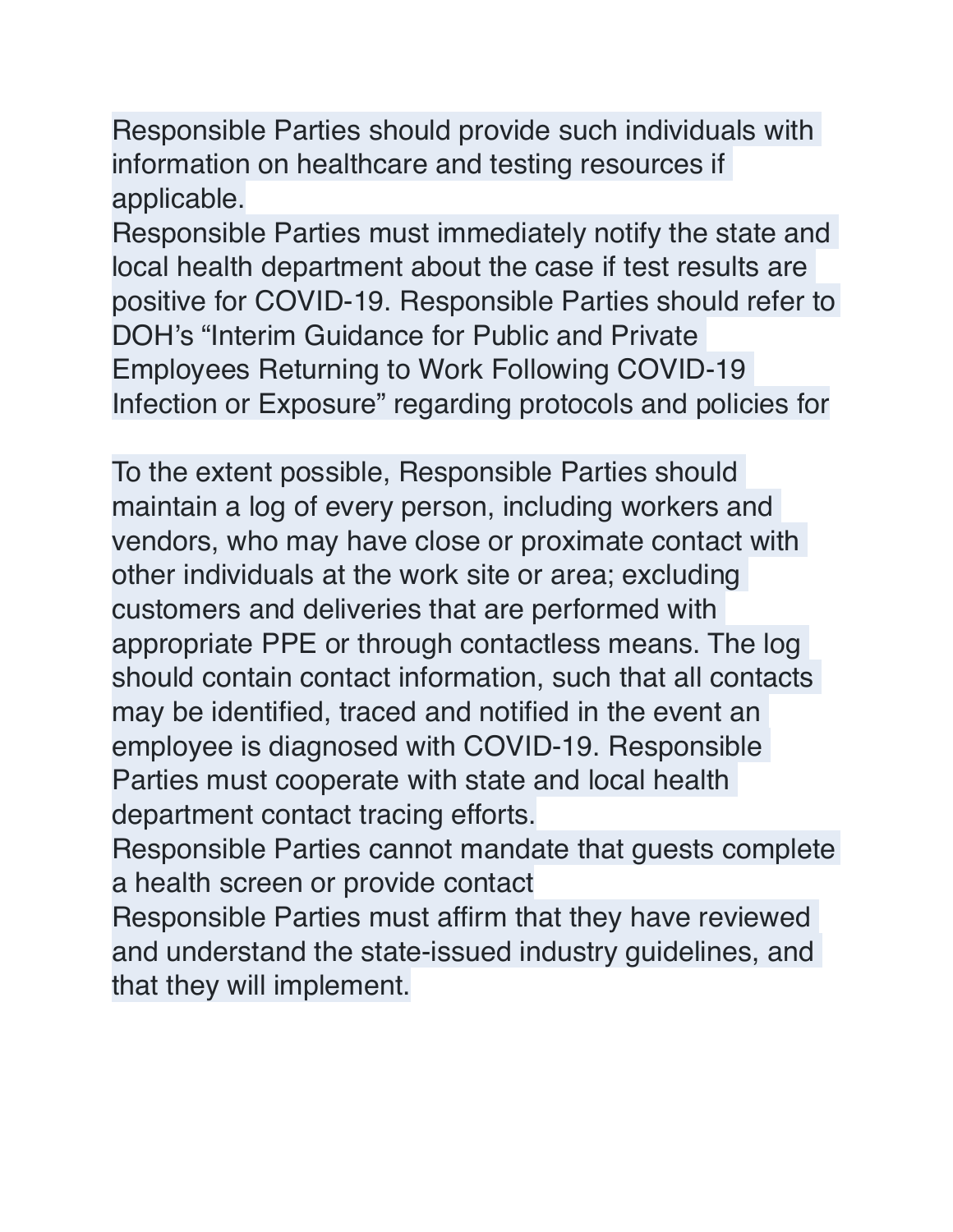Responsible Parties should provide such individuals with information on healthcare and testing resources if applicable.

Responsible Parties must immediately notify the state and local health department about the case if test results are positive for COVID-19. Responsible Parties should refer to DOH's "Interim Guidance for Public and Private Employees Returning to Work Following COVID-19 Infection or Exposure" regarding protocols and policies for

To the extent possible, Responsible Parties should maintain a log of every person, including workers and vendors, who may have close or proximate contact with other individuals at the work site or area; excluding customers and deliveries that are performed with appropriate PPE or through contactless means. The log should contain contact information, such that all contacts may be identified, traced and notified in the event an employee is diagnosed with COVID-19. Responsible Parties must cooperate with state and local health department contact tracing efforts.

Responsible Parties cannot mandate that guests complete a health screen or provide contact

Responsible Parties must affirm that they have reviewed and understand the state-issued industry guidelines, and that they will implement.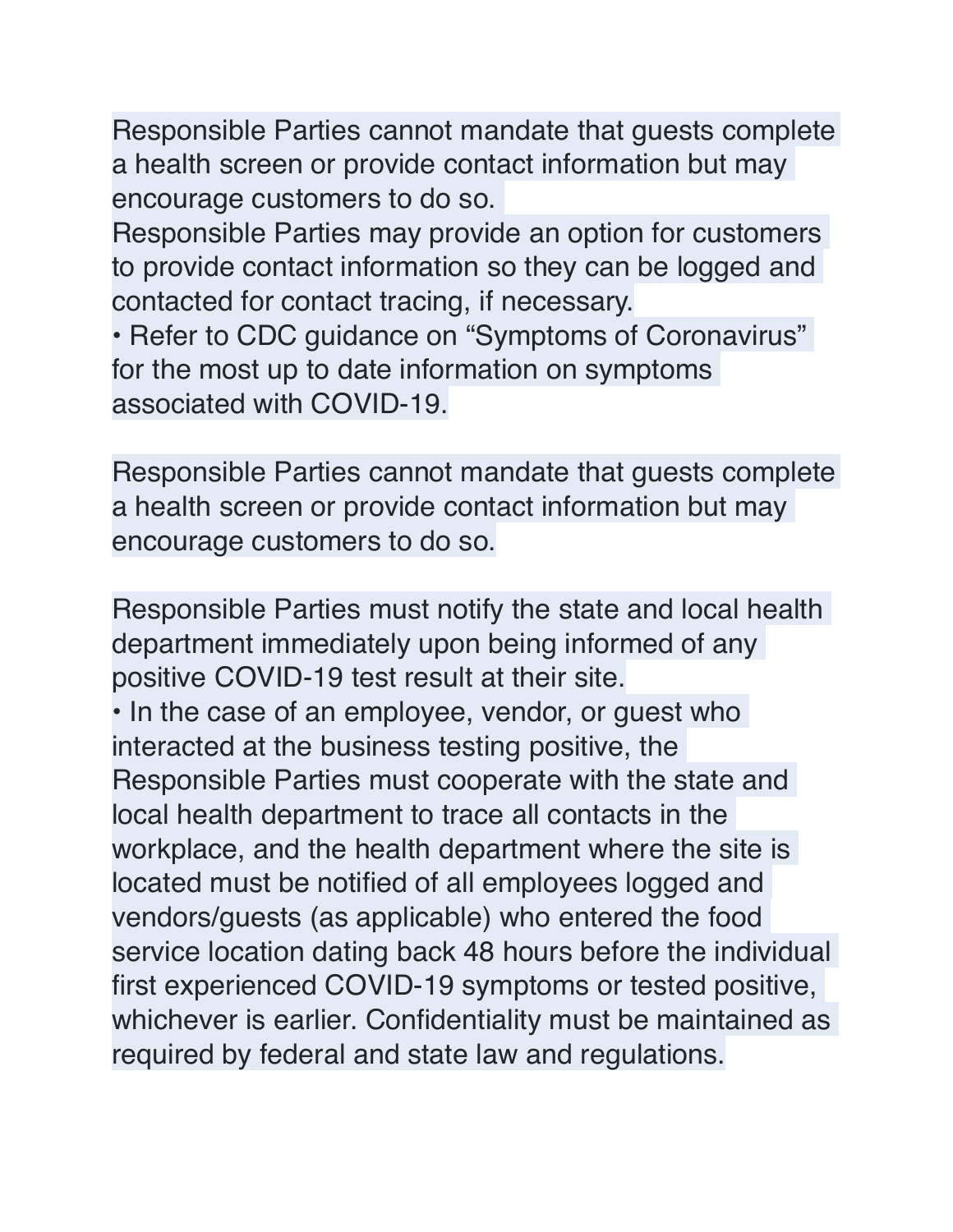Responsible Parties cannot mandate that guests complete a health screen or provide contact information but may encourage customers to do so.

Responsible Parties may provide an option for customers to provide contact information so they can be logged and contacted for contact tracing, if necessary.

• Refer to CDC guidance on "Symptoms of Coronavirus" for the most up to date information on symptoms associated with COVID-19.

Responsible Parties cannot mandate that guests complete a health screen or provide contact information but may encourage customers to do so.

Responsible Parties must notify the state and local health department immediately upon being informed of any positive COVID-19 test result at their site. • In the case of an employee, vendor, or guest who interacted at the business testing positive, the Responsible Parties must cooperate with the state and local health department to trace all contacts in the workplace, and the health department where the site is located must be notified of all employees logged and vendors/guests (as applicable) who entered the food service location dating back 48 hours before the individual first experienced COVID-19 symptoms or tested positive, whichever is earlier. Confidentiality must be maintained as required by federal and state law and regulations.